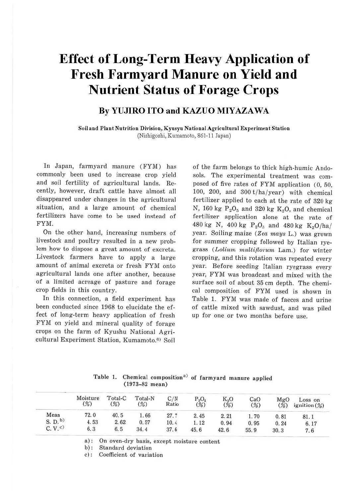# **Effect of Long-Term Heavy Application of Fresh Farmyard Manure on Yield and Nutrient Status of Forage Crops**

# **By YUJIRO ITO and KAZUO MIY AZA WA**

**Soil and Plant Nutrition Division, Kyusyu National Agricultural Experiment Station**  (Nishigoshi, Kumamoto, 861-11 Japan)

In Japan, farmyard manure (FYM) has commonly been used to increase crop yield and soil fertility of agricultural lands. Recently, however, draft cattle have almost all disappeared under changes in the agricultural situation, and a large amount of chemical fertilizers have come to be used instead of FYM.

On the other hand, increasing numbers of livestock and poultry resulted in a new problem how to dispose a great amount of excreta. Livestock farmers have to apply a large amount of animal excreta or fresh FYM onto agricultural lands one after another, because of a limited acreage of pasture and forage crop fields in this country.

In this connection, a field experiment has been conducted since 1968 to elucidate the effect of long-term heavy application of fresh FYM on yield and mineral quality of forage crops on the farm of Kyushu National Agricultural Experiment Station, Kumamoto.<sup>6)</sup> Soil

of the farm belongs to thick high-humic Andosols. The experimental treatment was composed of five rates of FYM application (0, 50, 100, 200, and  $300$  t/ha/year) with chemical fertilizer applied to each at the rate of 320 kg N, 160 kg  $P_2O_5$  and 320 kg  $K_2O$ , and chemical fertilizer application alone at the rate of 480 kg N, 400 kg  $P_2O_5$  and 480 kg K<sub>2</sub>O/ha/ year. Soiling maize  $(Zea$  mays L.) was grown for summer cropping followed by Italian ryegrass (Lolium multiflorum Lam.) for winter cropping, and this rotation was repeated every year. Before seeding Italian ryegrass every year, FYM was broadcast and mixed with the surface soil of about 35 cm depth. The chemical composition of FYM used is shown in Table l. FYM was made of faeces and urine of cattle mixed with sawdust, and was piled up for one or two months before use.

|                    | Table 1. Chemical composition <sup>a)</sup> of farmyard manure applied |  |  |
|--------------------|------------------------------------------------------------------------|--|--|
| $(1973 - 82$ mean) |                                                                        |  |  |

|         | $(1973 - 82 \text{ mean})$ |                     |                                     |              |                    |               |            |               |                            |
|---------|----------------------------|---------------------|-------------------------------------|--------------|--------------------|---------------|------------|---------------|----------------------------|
|         | Moisture<br>(%)            | $Total-C$<br>$(\%)$ | Total-N<br>$\frac{\binom{O}{0}}{O}$ | C/N<br>Ratio | $P_2O_5$<br>$(\%)$ | $K_2O$<br>(%) | CaO<br>(%) | MgO<br>$(\%)$ | Loss on<br>ignition $(\%)$ |
| Mean    | 72.0                       | 40.5                | 1.66                                | 27.7         | 2.45               | 2.21          | 1.70       | 0.81          | 81.1                       |
| S. D.   | 4.53                       | 2.62                | 0.57                                | 10.4         | 1.12               | 0.94          | 0.95       | 0.24          | 6.17                       |
| C, V, C | 6, 3                       | 6.5                 | 34.4                                | 37.6         | 45.6               | 42.6          | 55.9       | 30.3          | 7.6                        |

a): On oven-dry basis, except moisture content

b): Standard deviation

c): Coefficient of variation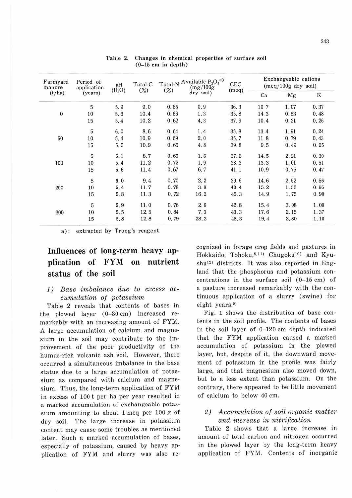| Farmyard<br>manure<br>(t/ha) | Period of<br>application<br>(years) | pH<br>(H <sub>2</sub> O) | Total-C<br>(%) | (%)  | Total-N Available $P_2O_5^{~a)}$<br>(mg/100g)<br>dry soil) | CEC<br>(meq) | Exchangeable cations<br>$(meq/100g$ dry soil) |      |       |
|------------------------------|-------------------------------------|--------------------------|----------------|------|------------------------------------------------------------|--------------|-----------------------------------------------|------|-------|
|                              |                                     |                          |                |      |                                                            |              | Ca                                            | Mg   | K     |
|                              | 5                                   | 5.9                      | 9.0            | 0.65 | 0.9                                                        | 36.3         | 10.7                                          | 1.07 | 0.37  |
| $\overline{0}$               | 10                                  | 5.6                      | 10.4           | 0.66 | 1.3                                                        | 35.8         | 14.3                                          | 0.53 | 0,48  |
|                              | 15                                  | 5.4                      | 10.2           | 0,62 | 4.3                                                        | 37.9         | 10.4                                          | 0.21 | 0, 26 |
|                              | 5                                   | 6.0                      | 8.6            | 0.64 | 1.4                                                        | 35.8         | 13.4                                          | 1.91 | 0.24  |
| 50                           | $10\,$                              | 5.4                      | 10.9           | 0.69 | 2,0                                                        | 35.7         | 11.8                                          | 0.79 | 0.43  |
|                              | 15                                  | 5.5                      | 10.9           | 0.65 | 4.8                                                        | 39.8         | 9.5                                           | 0,49 | 0.25  |
|                              | 5                                   | 6.1                      | 8.7            | 0.66 | 1.6                                                        | 37.2         | 14.5                                          | 2.21 | 0.30  |
| 100                          | 10                                  | 5.4                      | 11.2           | 0.72 | 1.9                                                        | 38.3         | 13.3                                          | 1.01 | 0.51  |
|                              | $15\,$                              | 5.6                      | 11.4           | 0.67 | 6.7                                                        | 41.1         | 10.9                                          | 0.75 | 0.47  |
|                              | $\overline{5}$                      | 6,0                      | 9.4            | 0.70 | 2.2                                                        | 39.6         | 14.6                                          | 2.52 | 0.56  |
| 200                          | 10                                  | 5.4                      | 11.7           | 0.78 | 3.8                                                        | 40.4         | 15.2                                          | 1.52 | 0.95  |
|                              | 15                                  | 5.8                      | 11.3           | 0.72 | 16.2                                                       | 45.3         | 14.9                                          | 1.75 | 0.90  |
|                              | $\sqrt{5}$                          | 5.9                      | 11.0           | 0.76 | 2.6                                                        | 42.8         | 15.4                                          | 3.08 | 1.09  |
| 300                          | 10                                  | 5.5                      | 12.5           | 0.84 | 7.3                                                        | 43.3         | 17.6                                          | 2.15 | 1.37  |
|                              | 15                                  | 5.8                      | 12.8           | 0.79 | 28.2                                                       | 48.3         | 19.4                                          | 2.80 | 1.10  |

Table 2. Changes in chemical properties of surface soil (0-15 cm in depth)

a): extracted by Truog's reagent

# **Influences of long-term heavy application of FYM on nutrient status of the soil**

### *1)* Base imbalance due to excess accumulation of potassium

Table 2 reveals that contents of bases in the plowed layer  $(0-30 \text{ cm})$  increased remarkably with an increasing amount of FYM. A large accumulation of calcium and magnesium in the soil may contribute to the improvement of the poor productivity of the humus-rich volcanic ash soil. However, there occurred a simultaneous imbalance in the base status due to a large accumulation of potassium as compared with calcium and magnesium. Thus, the long-term application of FYM in excess of 100 t per ha per year resulted in a marked accumulation of exchangeable potassium amounting to about 1 meq per 100 g of dry soil. The large increase in potassium content may cause some troubles as mentioned later. Such a marked accumulation of bases, especially of potassium, caused by heavy application of FYM and slurry was also recognized in forage crop fields and pastures in Hokkaido, Tohoku,<sup>8,11)</sup> Chugoku<sup>10)</sup> and Kyushu<sup>12</sup>) districts. It was also reported in England that the phosphorus and potassium concentrations in the surface soil (0-15 cm) of a pasture increased remarkably with the continuous application of a slurry (swine) for eight years.<sup>0)</sup>

Fig. 1 shows the distribution of base coutents in the soil profile. The contents of bases in the soil layer of 0-120 cm depth indicated that the FYM application caused a marked accumulation of potassium in the plowed layer, but, despite of it, the downward movement of potassium in the profile was fairly large, and that magnesium also moved down, but to a less extent than potassium. On the contrary, there appeared to be little movement of calcium to below 40 cm.

## 2) Accumulation of soil organic matter and increase in nitrification

Table 2 shows that a large increase in amount of total carbon and nitrogen occurred in the plowed layer by the long-term heavy application of FYM. Contents of inorganic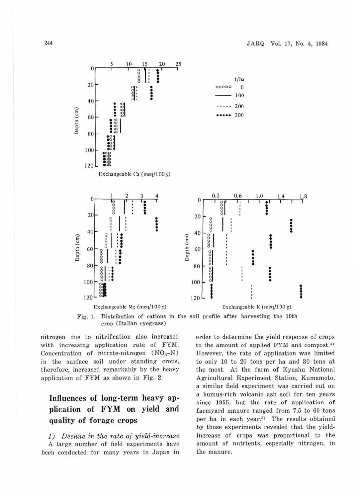

Fig. 1. Distribution of cations in the soil profile after harvesting the 10th crop (Italian ryegrass)

nitrogen due to nitrification also increased with increasing application rate of FYM. Concentration of nitrate-nitrogen  $(NO<sub>3</sub>–N)$ in the surface soil under standing crops, therefore, increased remarkably by the heavy application of FYM as shown in Fig. 2.

# Influences of long-term heavy application of FYM on yield and quality of forage crops

1) Decline in the rate of yield-increase A large number of field experiments have been conducted for many years in Japan in order to determine the yield response of crops to the amount of applied FYM and compost.<sup>4)</sup> However, the rate of application was limited to only 10 to 20 tons per ha and 30 tons at the most. At the farm of Kyushu National Agricultural Experiment Station, Kumamoto, a similar field experiment was carried out on a humus-rich volcanic ash soil for ten years since 1955, but the rate of application of farmyard manure ranged from 7.5 to 60 tons per ha in each year.<sup>5)</sup> The results obtained by those experiments revealed that the yieldincrease of crops was proportional to the amount of nutrients, especially nitrogen, in the manure.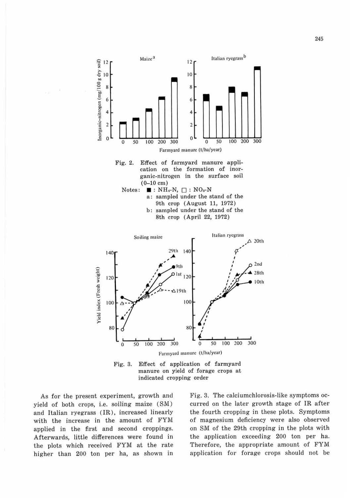

Fig. 3. Effect of application of farmyard manure on yield of forage crops at indicated cropping order

As for the present experiment, growth and yield of both crops, i.e. soiling maize (SM) and Italian ryegrass (IR), increased linearly with the increase in the amount of FYM applied in the first and second croppings. Afterwards, little differences were found in the plots which received FYM at the rate higher than 200 ton per ha, as shown in

Fig. 3. The calciumchlorosis-like symptoms occu rred on the later growth stage of IR after the fourth cropping in these plots. Symptoms of magnesium deficiency were also observed on SM of the 29th cropping in the plots with the application exceeding 200 ton per ha. Therefore, the appropriate amount of FYM. application for forage crops should not be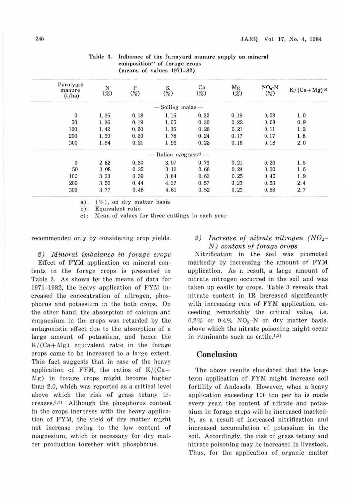| Farmyard<br>manure<br>(t/ha) | $\frac{N}{\binom{9}{0}}$ | P<br>$\frac{9}{0}$ | K<br>$(\%)$            | Ca<br>(%) | Mg<br>$(\%)$ | $NO3 - N$<br>(%) | $K/(Ca+Mg)$ <sup>b)</sup> |
|------------------------------|--------------------------|--------------------|------------------------|-----------|--------------|------------------|---------------------------|
|                              |                          |                    | $-$ Soiling maize $-$  |           |              |                  |                           |
| $\overline{0}$               | 1.36                     | 0.18               | 1.16                   | 0.32      | 0.19         | 0.08             | 1,0                       |
| 50                           | 1.36                     | 0.19               | 1.05                   | 0.30      | 0.22         | 0.08             | 0.9                       |
| 100                          | 1.42                     | 0.20               | 1.35                   | 0.26      | 0.21         | 0.11             | 1.2                       |
| 200                          | 1.50                     | 0.20               | 1.78                   | 0.24      | 0.17         | 0.17             | 1.8                       |
| 300                          | 1.54                     | 0.21               | 1.93                   | 0.22      | 0.16         | 0.18             | 2,0                       |
|                              |                          |                    | - Italian ryegrasse) - |           |              |                  |                           |
| $\overline{0}$               | 2.82                     | 0.30               | 3.07                   | 0.73      | 0.21         | 0.20             | 1.5                       |
| 50                           | 3.08                     | 0.35               | 3.13                   | 0.66      | 0.24         | 0.30             | 1.6                       |
| 100                          | 3.33                     | 0.39               | 3.64                   | 0.63      | 0.25         | 0.40             | 1.9                       |
| 200                          | 3.55                     | 0.44               | 4.37                   | 0.57      | 0.23         | 0.53             | 2.4                       |
| 300                          | 3.77                     | 0.48               | 4.61                   | 0.52      | 0.23         | 0.58             | 2.7                       |

#### Table 3. Influence of the farmyard manure supply on mineral composition"' of forage crops (means of values 1971-82)

a):  $(\%)$ , on dry matter basis

b): Equivalent ratio

c): Mean of values for three cuttings in each year

recommended only by considering crop yields.

2) Mineral imbalance in forage crops Effect of FYM application on mineral contents in the forage crops is presented in Table 3. As shown by the means of data for 1971–1982, the heavy application of FYM incr eased the concentration of nitrogen, phosphorus and potassium in the both crops. On the other hand, the absorption of calcium and magnesium in the crops was retarded by the antagonistic effect due to the absorption of a large amount of potassium, and hence the  $K/(Ca+Mg)$  equivalent ratio in the forage crops came to be increased to a large extent. This fact suggests that in case of the heavy application of FYM, the ratios of  $K/(Ca+$ Mg) in forage crops might become higher than 2.0, which was reported as a critical level above which the risk of grass tetany in $creases.<sup>3,7</sup>$  Although the phosphorus content in the crops increases with the heavy application of FYM, the yield of dry matter might. not increase owing to the low content of magnesium, which is necessary for dry matter production together with phosphorus.

## 3) Increase of nitrate nitrogen  $(NO<sub>3</sub>–$ N) content of forage crops

Nitrification in the soil was promoted markedly by increasing the amount of FYM application. As a result, a large amount of nitrate nitrogen occurred in the soil and was taken up easily by crops. Table 3 reveals that nitrate content in IR increased significantly with increasing rate of FYM application, exceeding remarkably the critical value, i.e.  $0.2\%$  or  $0.4\%$  NO<sub>3</sub>-N on dry matter basis, above which the nitrate poisoning might occur in ruminants such as cattle. $(1,2)$ 

# **Conclusion**

The above results elucidated that the longterm application of FYM might increase soil fertility of Andosols. However, when a heavy application exceeding 100 ton per ha is made every year, the content of nitrate and potassium in forage crops will be increased markedly, as a result of increased nitrification and increased accumulation of potassium in the soil. Accordingly, the risk of grass tetany and nitrate poisoning may be increased in livestock. Thus, for the application of organic matter